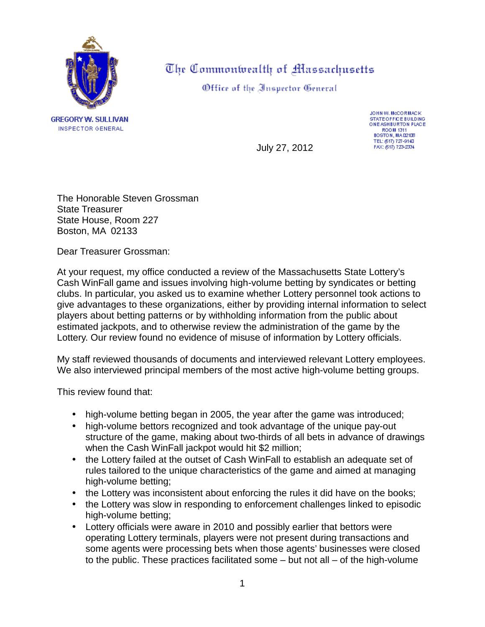

**GREGORY W. SULLIVAN INSPECTOR GENERAL** 

The Commonwealth of Massachusetts

Office of the Inspector General

JOHN W. McCORMACK **STATE OFFICE BUILDING** ONE ASHBURTON PLACE **ROOM 1311** BOSTON, MAD2108 TEL: (517) 727-9140<br>FAX: (517) 723-2334

July 27, 2012

The Honorable Steven Grossman State Treasurer State House, Room 227 Boston, MA 02133

Dear Treasurer Grossman:

At your request, my office conducted a review of the Massachusetts State Lottery's Cash WinFall game and issues involving high-volume betting by syndicates or betting clubs. In particular, you asked us to examine whether Lottery personnel took actions to give advantages to these organizations, either by providing internal information to select players about betting patterns or by withholding information from the public about estimated jackpots, and to otherwise review the administration of the game by the Lottery. Our review found no evidence of misuse of information by Lottery officials.

My staff reviewed thousands of documents and interviewed relevant Lottery employees. We also interviewed principal members of the most active high-volume betting groups.

This review found that:

- high-volume betting began in 2005, the year after the game was introduced;
- high-volume bettors recognized and took advantage of the unique pay-out structure of the game, making about two-thirds of all bets in advance of drawings when the Cash WinFall jackpot would hit \$2 million;
- the Lottery failed at the outset of Cash WinFall to establish an adequate set of  $\mathbf{r}$ rules tailored to the unique characteristics of the game and aimed at managing high-volume betting;
- the Lottery was inconsistent about enforcing the rules it did have on the books;
- the Lottery was slow in responding to enforcement challenges linked to episodic high-volume betting;
- Lottery officials were aware in 2010 and possibly earlier that bettors were operating Lottery terminals, players were not present during transactions and some agents were processing bets when those agents' businesses were closed to the public. These practices facilitated some – but not all – of the high-volume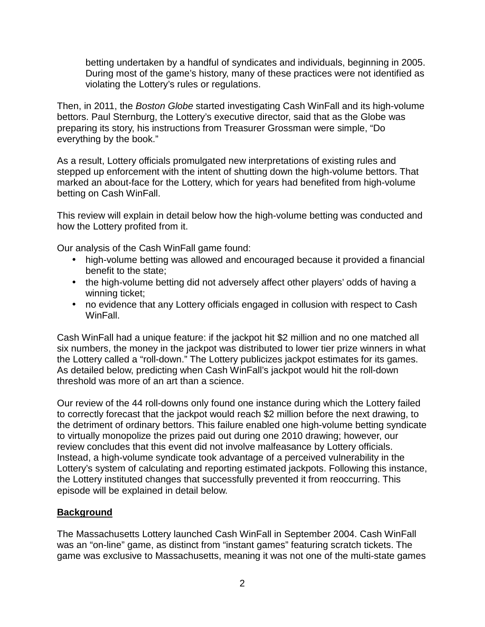betting undertaken by a handful of syndicates and individuals, beginning in 2005. During most of the game's history, many of these practices were not identified as violating the Lottery's rules or regulations.

Then, in 2011, the *Boston Globe* started investigating Cash WinFall and its high-volume bettors. Paul Sternburg, the Lottery's executive director, said that as the Globe was preparing its story, his instructions from Treasurer Grossman were simple, "Do everything by the book."

As a result, Lottery officials promulgated new interpretations of existing rules and stepped up enforcement with the intent of shutting down the high-volume bettors. That marked an about-face for the Lottery, which for years had benefited from high-volume betting on Cash WinFall.

This review will explain in detail below how the high-volume betting was conducted and how the Lottery profited from it.

Our analysis of the Cash WinFall game found:

- high-volume betting was allowed and encouraged because it provided a financial benefit to the state;
- the high-volume betting did not adversely affect other players' odds of having a winning ticket;
- no evidence that any Lottery officials engaged in collusion with respect to Cash WinFall.

Cash WinFall had a unique feature: if the jackpot hit \$2 million and no one matched all six numbers, the money in the jackpot was distributed to lower tier prize winners in what the Lottery called a "roll-down." The Lottery publicizes jackpot estimates for its games. As detailed below, predicting when Cash WinFall's jackpot would hit the roll-down threshold was more of an art than a science.

Our review of the 44 roll-downs only found one instance during which the Lottery failed to correctly forecast that the jackpot would reach \$2 million before the next drawing, to the detriment of ordinary bettors. This failure enabled one high-volume betting syndicate to virtually monopolize the prizes paid out during one 2010 drawing; however, our review concludes that this event did not involve malfeasance by Lottery officials. Instead, a high-volume syndicate took advantage of a perceived vulnerability in the Lottery's system of calculating and reporting estimated jackpots. Following this instance, the Lottery instituted changes that successfully prevented it from reoccurring. This episode will be explained in detail below.

# **Background**

The Massachusetts Lottery launched Cash WinFall in September 2004. Cash WinFall was an "on-line" game, as distinct from "instant games" featuring scratch tickets. The game was exclusive to Massachusetts, meaning it was not one of the multi-state games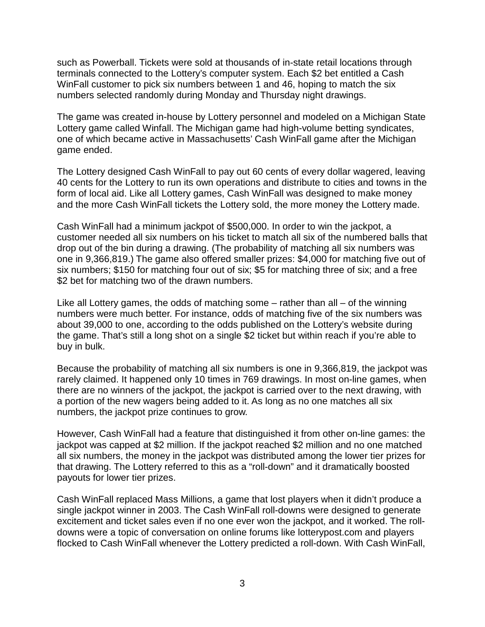such as Powerball. Tickets were sold at thousands of in-state retail locations through terminals connected to the Lottery's computer system. Each \$2 bet entitled a Cash WinFall customer to pick six numbers between 1 and 46, hoping to match the six numbers selected randomly during Monday and Thursday night drawings.

The game was created in-house by Lottery personnel and modeled on a Michigan State Lottery game called Winfall. The Michigan game had high-volume betting syndicates, one of which became active in Massachusetts' Cash WinFall game after the Michigan game ended.

The Lottery designed Cash WinFall to pay out 60 cents of every dollar wagered, leaving 40 cents for the Lottery to run its own operations and distribute to cities and towns in the form of local aid. Like all Lottery games, Cash WinFall was designed to make money and the more Cash WinFall tickets the Lottery sold, the more money the Lottery made.

Cash WinFall had a minimum jackpot of \$500,000. In order to win the jackpot, a customer needed all six numbers on his ticket to match all six of the numbered balls that drop out of the bin during a drawing. (The probability of matching all six numbers was one in 9,366,819.) The game also offered smaller prizes: \$4,000 for matching five out of six numbers; \$150 for matching four out of six; \$5 for matching three of six; and a free \$2 bet for matching two of the drawn numbers.

Like all Lottery games, the odds of matching some – rather than all – of the winning numbers were much better. For instance, odds of matching five of the six numbers was about 39,000 to one, according to the odds published on the Lottery's website during the game. That's still a long shot on a single \$2 ticket but within reach if you're able to buy in bulk.

Because the probability of matching all six numbers is one in 9,366,819, the jackpot was rarely claimed. It happened only 10 times in 769 drawings. In most on-line games, when there are no winners of the jackpot, the jackpot is carried over to the next drawing, with a portion of the new wagers being added to it. As long as no one matches all six numbers, the jackpot prize continues to grow.

However, Cash WinFall had a feature that distinguished it from other on-line games: the jackpot was capped at \$2 million. If the jackpot reached \$2 million and no one matched all six numbers, the money in the jackpot was distributed among the lower tier prizes for that drawing. The Lottery referred to this as a "roll-down" and it dramatically boosted payouts for lower tier prizes.

Cash WinFall replaced Mass Millions, a game that lost players when it didn't produce a single jackpot winner in 2003. The Cash WinFall roll-downs were designed to generate excitement and ticket sales even if no one ever won the jackpot, and it worked. The rolldowns were a topic of conversation on online forums like lotterypost.com and players flocked to Cash WinFall whenever the Lottery predicted a roll-down. With Cash WinFall,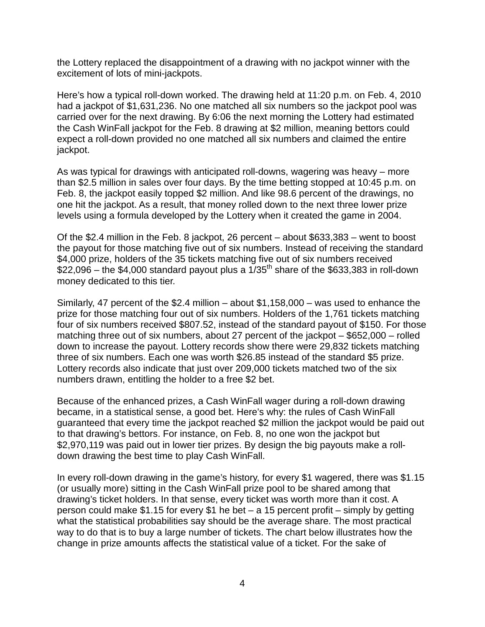the Lottery replaced the disappointment of a drawing with no jackpot winner with the excitement of lots of mini-jackpots.

Here's how a typical roll-down worked. The drawing held at 11:20 p.m. on Feb. 4, 2010 had a jackpot of \$1,631,236. No one matched all six numbers so the jackpot pool was carried over for the next drawing. By 6:06 the next morning the Lottery had estimated the Cash WinFall jackpot for the Feb. 8 drawing at \$2 million, meaning bettors could expect a roll-down provided no one matched all six numbers and claimed the entire jackpot.

As was typical for drawings with anticipated roll-downs, wagering was heavy – more than \$2.5 million in sales over four days. By the time betting stopped at 10:45 p.m. on Feb. 8, the jackpot easily topped \$2 million. And like 98.6 percent of the drawings, no one hit the jackpot. As a result, that money rolled down to the next three lower prize levels using a formula developed by the Lottery when it created the game in 2004.

Of the \$2.4 million in the Feb. 8 jackpot, 26 percent – about \$633,383 – went to boost the payout for those matching five out of six numbers. Instead of receiving the standard \$4,000 prize, holders of the 35 tickets matching five out of six numbers received  $$22,096$  – the \$4,000 standard payout plus a  $1/35<sup>th</sup>$  share of the \$633,383 in roll-down money dedicated to this tier.

Similarly, 47 percent of the \$2.4 million – about \$1,158,000 – was used to enhance the prize for those matching four out of six numbers. Holders of the 1,761 tickets matching four of six numbers received \$807.52, instead of the standard payout of \$150. For those matching three out of six numbers, about 27 percent of the jackpot – \$652,000 – rolled down to increase the payout. Lottery records show there were 29,832 tickets matching three of six numbers. Each one was worth \$26.85 instead of the standard \$5 prize. Lottery records also indicate that just over 209,000 tickets matched two of the six numbers drawn, entitling the holder to a free \$2 bet.

Because of the enhanced prizes, a Cash WinFall wager during a roll-down drawing became, in a statistical sense, a good bet. Here's why: the rules of Cash WinFall guaranteed that every time the jackpot reached \$2 million the jackpot would be paid out to that drawing's bettors. For instance, on Feb. 8, no one won the jackpot but \$2,970,119 was paid out in lower tier prizes. By design the big payouts make a rolldown drawing the best time to play Cash WinFall.

In every roll-down drawing in the game's history, for every \$1 wagered, there was \$1.15 (or usually more) sitting in the Cash WinFall prize pool to be shared among that drawing's ticket holders. In that sense, every ticket was worth more than it cost. A person could make \$1.15 for every \$1 he bet – a 15 percent profit – simply by getting what the statistical probabilities say should be the average share. The most practical way to do that is to buy a large number of tickets. The chart below illustrates how the change in prize amounts affects the statistical value of a ticket. For the sake of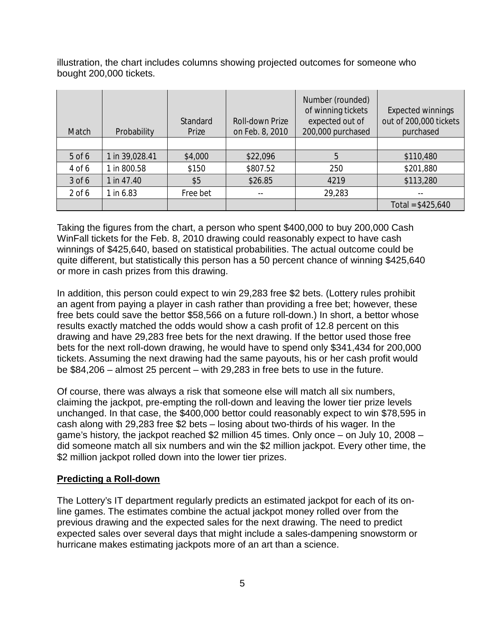illustration, the chart includes columns showing projected outcomes for someone who bought 200,000 tickets.

| Match    | Probability    | Standard<br>Prize | Roll-down Prize<br>on Feb. 8, 2010 | Number (rounded)<br>of winning tickets<br>expected out of<br>200,000 purchased | <b>Expected winnings</b><br>out of 200,000 tickets<br>purchased |
|----------|----------------|-------------------|------------------------------------|--------------------------------------------------------------------------------|-----------------------------------------------------------------|
|          |                |                   |                                    |                                                                                |                                                                 |
| $5$ of 6 | 1 in 39,028.41 | \$4,000           | \$22,096                           | 5                                                                              | \$110,480                                                       |
| 4 of 6   | 1 in 800.58    | \$150             | \$807.52                           | 250                                                                            | \$201,880                                                       |
| 3 of 6   | 1 in 47.40     | \$5               | \$26.85                            | 4219                                                                           | \$113,280                                                       |
| $2$ of 6 | 1 in 6.83      | Free bet          |                                    | 29,283                                                                         |                                                                 |
|          |                |                   |                                    |                                                                                | Total = $$425,640$                                              |

Taking the figures from the chart, a person who spent \$400,000 to buy 200,000 Cash WinFall tickets for the Feb. 8, 2010 drawing could reasonably expect to have cash winnings of \$425,640, based on statistical probabilities. The actual outcome could be quite different, but statistically this person has a 50 percent chance of winning \$425,640 or more in cash prizes from this drawing.

In addition, this person could expect to win 29,283 free \$2 bets. (Lottery rules prohibit an agent from paying a player in cash rather than providing a free bet; however, these free bets could save the bettor \$58,566 on a future roll-down.) In short, a bettor whose results exactly matched the odds would show a cash profit of 12.8 percent on this drawing and have 29,283 free bets for the next drawing. If the bettor used those free bets for the next roll-down drawing, he would have to spend only \$341,434 for 200,000 tickets. Assuming the next drawing had the same payouts, his or her cash profit would be \$84,206 – almost 25 percent – with 29,283 in free bets to use in the future.

Of course, there was always a risk that someone else will match all six numbers, claiming the jackpot, pre-empting the roll-down and leaving the lower tier prize levels unchanged. In that case, the \$400,000 bettor could reasonably expect to win \$78,595 in cash along with 29,283 free \$2 bets – losing about two-thirds of his wager. In the game's history, the jackpot reached \$2 million 45 times. Only once – on July 10, 2008 – did someone match all six numbers and win the \$2 million jackpot. Every other time, the \$2 million jackpot rolled down into the lower tier prizes.

# **Predicting a Roll-down**

The Lottery's IT department regularly predicts an estimated jackpot for each of its online games. The estimates combine the actual jackpot money rolled over from the previous drawing and the expected sales for the next drawing. The need to predict expected sales over several days that might include a sales-dampening snowstorm or hurricane makes estimating jackpots more of an art than a science.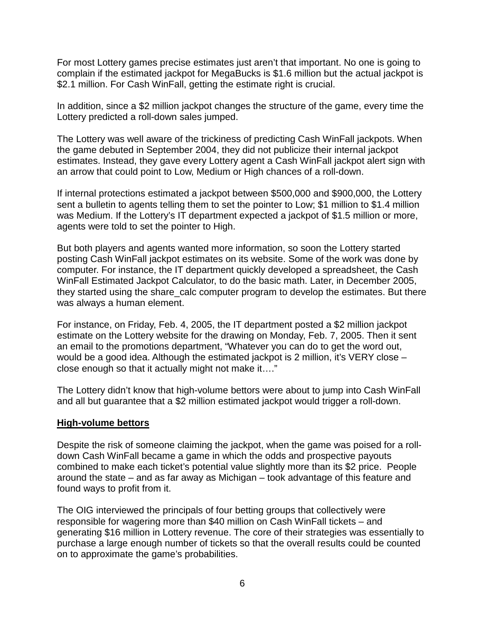For most Lottery games precise estimates just aren't that important. No one is going to complain if the estimated jackpot for MegaBucks is \$1.6 million but the actual jackpot is \$2.1 million. For Cash WinFall, getting the estimate right is crucial.

In addition, since a \$2 million jackpot changes the structure of the game, every time the Lottery predicted a roll-down sales jumped.

The Lottery was well aware of the trickiness of predicting Cash WinFall jackpots. When the game debuted in September 2004, they did not publicize their internal jackpot estimates. Instead, they gave every Lottery agent a Cash WinFall jackpot alert sign with an arrow that could point to Low, Medium or High chances of a roll-down.

If internal protections estimated a jackpot between \$500,000 and \$900,000, the Lottery sent a bulletin to agents telling them to set the pointer to Low; \$1 million to \$1.4 million was Medium. If the Lottery's IT department expected a jackpot of \$1.5 million or more, agents were told to set the pointer to High.

But both players and agents wanted more information, so soon the Lottery started posting Cash WinFall jackpot estimates on its website. Some of the work was done by computer. For instance, the IT department quickly developed a spreadsheet, the Cash WinFall Estimated Jackpot Calculator, to do the basic math. Later, in December 2005, they started using the share calc computer program to develop the estimates. But there was always a human element.

For instance, on Friday, Feb. 4, 2005, the IT department posted a \$2 million jackpot estimate on the Lottery website for the drawing on Monday, Feb. 7, 2005. Then it sent an email to the promotions department, "Whatever you can do to get the word out, would be a good idea. Although the estimated jackpot is 2 million, it's VERY close – close enough so that it actually might not make it…."

The Lottery didn't know that high-volume bettors were about to jump into Cash WinFall and all but guarantee that a \$2 million estimated jackpot would trigger a roll-down.

#### **High-volume bettors**

Despite the risk of someone claiming the jackpot, when the game was poised for a rolldown Cash WinFall became a game in which the odds and prospective payouts combined to make each ticket's potential value slightly more than its \$2 price. People around the state – and as far away as Michigan – took advantage of this feature and found ways to profit from it.

The OIG interviewed the principals of four betting groups that collectively were responsible for wagering more than \$40 million on Cash WinFall tickets – and generating \$16 million in Lottery revenue. The core of their strategies was essentially to purchase a large enough number of tickets so that the overall results could be counted on to approximate the game's probabilities.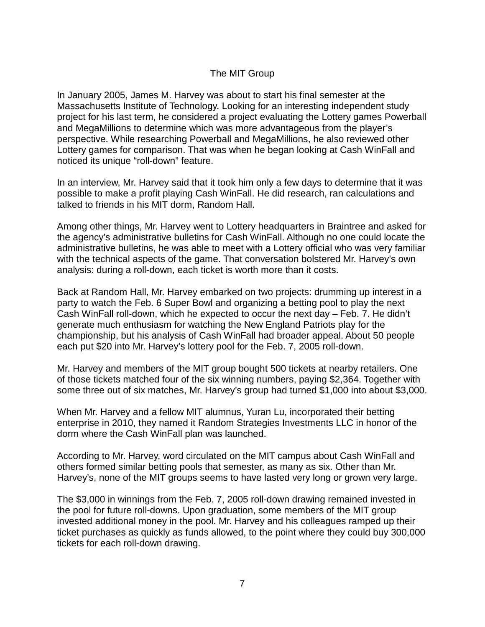### The MIT Group

In January 2005, James M. Harvey was about to start his final semester at the Massachusetts Institute of Technology. Looking for an interesting independent study project for his last term, he considered a project evaluating the Lottery games Powerball and MegaMillions to determine which was more advantageous from the player's perspective. While researching Powerball and MegaMillions, he also reviewed other Lottery games for comparison. That was when he began looking at Cash WinFall and noticed its unique "roll-down" feature.

In an interview, Mr. Harvey said that it took him only a few days to determine that it was possible to make a profit playing Cash WinFall. He did research, ran calculations and talked to friends in his MIT dorm, Random Hall.

Among other things, Mr. Harvey went to Lottery headquarters in Braintree and asked for the agency's administrative bulletins for Cash WinFall. Although no one could locate the administrative bulletins, he was able to meet with a Lottery official who was very familiar with the technical aspects of the game. That conversation bolstered Mr. Harvey's own analysis: during a roll-down, each ticket is worth more than it costs.

Back at Random Hall, Mr. Harvey embarked on two projects: drumming up interest in a party to watch the Feb. 6 Super Bowl and organizing a betting pool to play the next Cash WinFall roll-down, which he expected to occur the next day – Feb. 7. He didn't generate much enthusiasm for watching the New England Patriots play for the championship, but his analysis of Cash WinFall had broader appeal. About 50 people each put \$20 into Mr. Harvey's lottery pool for the Feb. 7, 2005 roll-down.

Mr. Harvey and members of the MIT group bought 500 tickets at nearby retailers. One of those tickets matched four of the six winning numbers, paying \$2,364. Together with some three out of six matches, Mr. Harvey's group had turned \$1,000 into about \$3,000.

When Mr. Harvey and a fellow MIT alumnus, Yuran Lu, incorporated their betting enterprise in 2010, they named it Random Strategies Investments LLC in honor of the dorm where the Cash WinFall plan was launched.

According to Mr. Harvey, word circulated on the MIT campus about Cash WinFall and others formed similar betting pools that semester, as many as six. Other than Mr. Harvey's, none of the MIT groups seems to have lasted very long or grown very large.

The \$3,000 in winnings from the Feb. 7, 2005 roll-down drawing remained invested in the pool for future roll-downs. Upon graduation, some members of the MIT group invested additional money in the pool. Mr. Harvey and his colleagues ramped up their ticket purchases as quickly as funds allowed, to the point where they could buy 300,000 tickets for each roll-down drawing.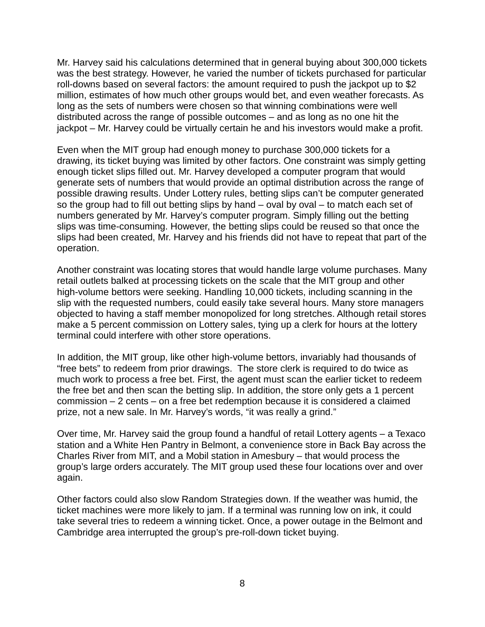Mr. Harvey said his calculations determined that in general buying about 300,000 tickets was the best strategy. However, he varied the number of tickets purchased for particular roll-downs based on several factors: the amount required to push the jackpot up to \$2 million, estimates of how much other groups would bet, and even weather forecasts. As long as the sets of numbers were chosen so that winning combinations were well distributed across the range of possible outcomes – and as long as no one hit the jackpot – Mr. Harvey could be virtually certain he and his investors would make a profit.

Even when the MIT group had enough money to purchase 300,000 tickets for a drawing, its ticket buying was limited by other factors. One constraint was simply getting enough ticket slips filled out. Mr. Harvey developed a computer program that would generate sets of numbers that would provide an optimal distribution across the range of possible drawing results. Under Lottery rules, betting slips can't be computer generated so the group had to fill out betting slips by hand – oval by oval – to match each set of numbers generated by Mr. Harvey's computer program. Simply filling out the betting slips was time-consuming. However, the betting slips could be reused so that once the slips had been created, Mr. Harvey and his friends did not have to repeat that part of the operation.

Another constraint was locating stores that would handle large volume purchases. Many retail outlets balked at processing tickets on the scale that the MIT group and other high-volume bettors were seeking. Handling 10,000 tickets, including scanning in the slip with the requested numbers, could easily take several hours. Many store managers objected to having a staff member monopolized for long stretches. Although retail stores make a 5 percent commission on Lottery sales, tying up a clerk for hours at the lottery terminal could interfere with other store operations.

In addition, the MIT group, like other high-volume bettors, invariably had thousands of "free bets" to redeem from prior drawings. The store clerk is required to do twice as much work to process a free bet. First, the agent must scan the earlier ticket to redeem the free bet and then scan the betting slip. In addition, the store only gets a 1 percent commission – 2 cents – on a free bet redemption because it is considered a claimed prize, not a new sale. In Mr. Harvey's words, "it was really a grind."

Over time, Mr. Harvey said the group found a handful of retail Lottery agents – a Texaco station and a White Hen Pantry in Belmont, a convenience store in Back Bay across the Charles River from MIT, and a Mobil station in Amesbury – that would process the group's large orders accurately. The MIT group used these four locations over and over again.

Other factors could also slow Random Strategies down. If the weather was humid, the ticket machines were more likely to jam. If a terminal was running low on ink, it could take several tries to redeem a winning ticket. Once, a power outage in the Belmont and Cambridge area interrupted the group's pre-roll-down ticket buying.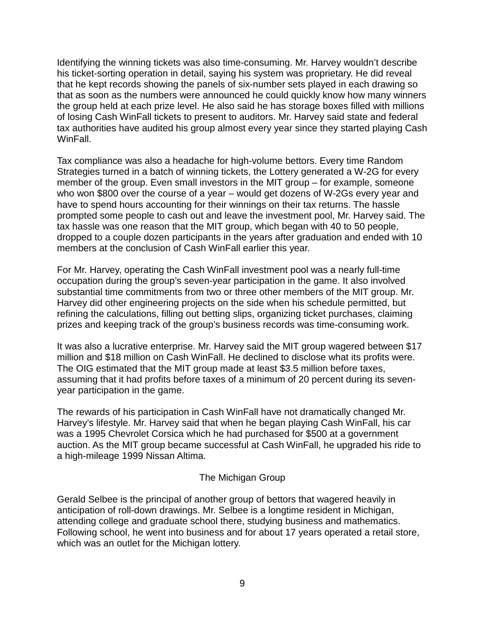Identifying the winning tickets was also time-consuming. Mr. Harvey wouldn't describe his ticket-sorting operation in detail, saying his system was proprietary. He did reveal that he kept records showing the panels of six-number sets played in each drawing so that as soon as the numbers were announced he could quickly know how many winners the group held at each prize level. He also said he has storage boxes filled with millions of losing Cash WinFall tickets to present to auditors. Mr. Harvey said state and federal tax authorities have audited his group almost every year since they started playing Cash WinFall.

Tax compliance was also a headache for high-volume bettors. Every time Random Strategies turned in a batch of winning tickets, the Lottery generated a W-2G for every member of the group. Even small investors in the MIT group – for example, someone who won \$800 over the course of a year – would get dozens of W-2Gs every year and have to spend hours accounting for their winnings on their tax returns. The hassle prompted some people to cash out and leave the investment pool, Mr. Harvey said. The tax hassle was one reason that the MIT group, which began with 40 to 50 people, dropped to a couple dozen participants in the years after graduation and ended with 10 members at the conclusion of Cash WinFall earlier this year.

For Mr. Harvey, operating the Cash WinFall investment pool was a nearly full-time occupation during the group's seven-year participation in the game. It also involved substantial time commitments from two or three other members of the MIT group. Mr. Harvey did other engineering projects on the side when his schedule permitted, but refining the calculations, filling out betting slips, organizing ticket purchases, claiming prizes and keeping track of the group's business records was time-consuming work.

It was also a lucrative enterprise. Mr. Harvey said the MIT group wagered between \$17 million and \$18 million on Cash WinFall. He declined to disclose what its profits were. The OIG estimated that the MIT group made at least \$3.5 million before taxes, assuming that it had profits before taxes of a minimum of 20 percent during its sevenyear participation in the game.

The rewards of his participation in Cash WinFall have not dramatically changed Mr. Harvey's lifestyle. Mr. Harvey said that when he began playing Cash WinFall, his car was a 1995 Chevrolet Corsica which he had purchased for \$500 at a government auction. As the MIT group became successful at Cash WinFall, he upgraded his ride to a high-mileage 1999 Nissan Altima.

#### The Michigan Group

Gerald Selbee is the principal of another group of bettors that wagered heavily in anticipation of roll-down drawings. Mr. Selbee is a longtime resident in Michigan, attending college and graduate school there, studying business and mathematics. Following school, he went into business and for about 17 years operated a retail store, which was an outlet for the Michigan lottery.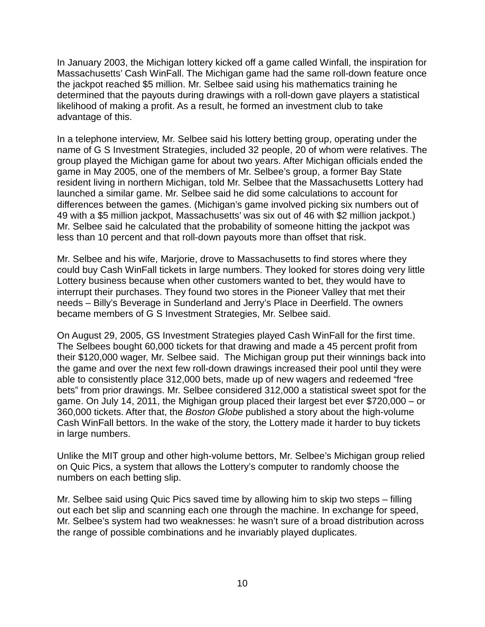In January 2003, the Michigan lottery kicked off a game called Winfall, the inspiration for Massachusetts' Cash WinFall. The Michigan game had the same roll-down feature once the jackpot reached \$5 million. Mr. Selbee said using his mathematics training he determined that the payouts during drawings with a roll-down gave players a statistical likelihood of making a profit. As a result, he formed an investment club to take advantage of this.

In a telephone interview, Mr. Selbee said his lottery betting group, operating under the name of G S Investment Strategies, included 32 people, 20 of whom were relatives. The group played the Michigan game for about two years. After Michigan officials ended the game in May 2005, one of the members of Mr. Selbee's group, a former Bay State resident living in northern Michigan, told Mr. Selbee that the Massachusetts Lottery had launched a similar game. Mr. Selbee said he did some calculations to account for differences between the games. (Michigan's game involved picking six numbers out of 49 with a \$5 million jackpot, Massachusetts' was six out of 46 with \$2 million jackpot.) Mr. Selbee said he calculated that the probability of someone hitting the jackpot was less than 10 percent and that roll-down payouts more than offset that risk.

Mr. Selbee and his wife, Marjorie, drove to Massachusetts to find stores where they could buy Cash WinFall tickets in large numbers. They looked for stores doing very little Lottery business because when other customers wanted to bet, they would have to interrupt their purchases. They found two stores in the Pioneer Valley that met their needs – Billy's Beverage in Sunderland and Jerry's Place in Deerfield. The owners became members of G S Investment Strategies, Mr. Selbee said.

On August 29, 2005, GS Investment Strategies played Cash WinFall for the first time. The Selbees bought 60,000 tickets for that drawing and made a 45 percent profit from their \$120,000 wager, Mr. Selbee said. The Michigan group put their winnings back into the game and over the next few roll-down drawings increased their pool until they were able to consistently place 312,000 bets, made up of new wagers and redeemed "free bets" from prior drawings. Mr. Selbee considered 312,000 a statistical sweet spot for the game. On July 14, 2011, the Mighigan group placed their largest bet ever \$720,000 – or 360,000 tickets. After that, the *Boston Globe* published a story about the high-volume Cash WinFall bettors. In the wake of the story, the Lottery made it harder to buy tickets in large numbers.

Unlike the MIT group and other high-volume bettors, Mr. Selbee's Michigan group relied on Quic Pics, a system that allows the Lottery's computer to randomly choose the numbers on each betting slip.

Mr. Selbee said using Quic Pics saved time by allowing him to skip two steps – filling out each bet slip and scanning each one through the machine. In exchange for speed, Mr. Selbee's system had two weaknesses: he wasn't sure of a broad distribution across the range of possible combinations and he invariably played duplicates.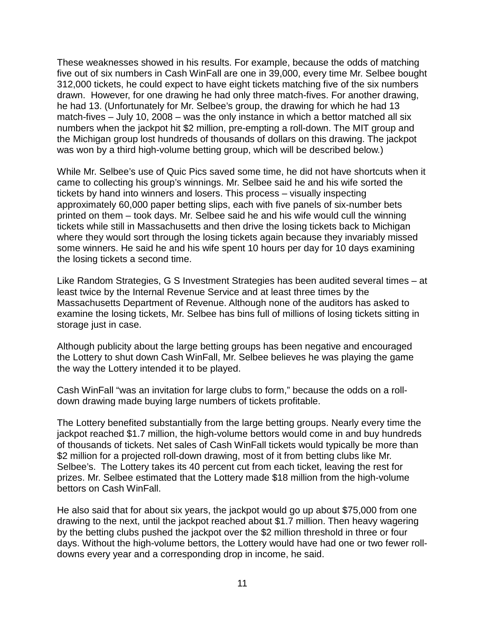These weaknesses showed in his results. For example, because the odds of matching five out of six numbers in Cash WinFall are one in 39,000, every time Mr. Selbee bought 312,000 tickets, he could expect to have eight tickets matching five of the six numbers drawn. However, for one drawing he had only three match-fives. For another drawing, he had 13. (Unfortunately for Mr. Selbee's group, the drawing for which he had 13 match-fives – July 10, 2008 – was the only instance in which a bettor matched all six numbers when the jackpot hit \$2 million, pre-empting a roll-down. The MIT group and the Michigan group lost hundreds of thousands of dollars on this drawing. The jackpot was won by a third high-volume betting group, which will be described below.)

While Mr. Selbee's use of Quic Pics saved some time, he did not have shortcuts when it came to collecting his group's winnings. Mr. Selbee said he and his wife sorted the tickets by hand into winners and losers. This process – visually inspecting approximately 60,000 paper betting slips, each with five panels of six-number bets printed on them – took days. Mr. Selbee said he and his wife would cull the winning tickets while still in Massachusetts and then drive the losing tickets back to Michigan where they would sort through the losing tickets again because they invariably missed some winners. He said he and his wife spent 10 hours per day for 10 days examining the losing tickets a second time.

Like Random Strategies, G S Investment Strategies has been audited several times – at least twice by the Internal Revenue Service and at least three times by the Massachusetts Department of Revenue. Although none of the auditors has asked to examine the losing tickets, Mr. Selbee has bins full of millions of losing tickets sitting in storage just in case.

Although publicity about the large betting groups has been negative and encouraged the Lottery to shut down Cash WinFall, Mr. Selbee believes he was playing the game the way the Lottery intended it to be played.

Cash WinFall "was an invitation for large clubs to form," because the odds on a rolldown drawing made buying large numbers of tickets profitable.

The Lottery benefited substantially from the large betting groups. Nearly every time the jackpot reached \$1.7 million, the high-volume bettors would come in and buy hundreds of thousands of tickets. Net sales of Cash WinFall tickets would typically be more than \$2 million for a projected roll-down drawing, most of it from betting clubs like Mr. Selbee's. The Lottery takes its 40 percent cut from each ticket, leaving the rest for prizes. Mr. Selbee estimated that the Lottery made \$18 million from the high-volume bettors on Cash WinFall.

He also said that for about six years, the jackpot would go up about \$75,000 from one drawing to the next, until the jackpot reached about \$1.7 million. Then heavy wagering by the betting clubs pushed the jackpot over the \$2 million threshold in three or four days. Without the high-volume bettors, the Lottery would have had one or two fewer rolldowns every year and a corresponding drop in income, he said.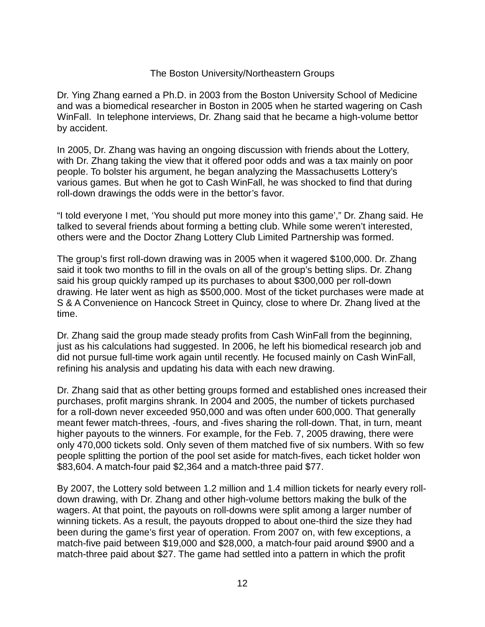#### The Boston University/Northeastern Groups

Dr. Ying Zhang earned a Ph.D. in 2003 from the Boston University School of Medicine and was a biomedical researcher in Boston in 2005 when he started wagering on Cash WinFall. In telephone interviews, Dr. Zhang said that he became a high-volume bettor by accident.

In 2005, Dr. Zhang was having an ongoing discussion with friends about the Lottery, with Dr. Zhang taking the view that it offered poor odds and was a tax mainly on poor people. To bolster his argument, he began analyzing the Massachusetts Lottery's various games. But when he got to Cash WinFall, he was shocked to find that during roll-down drawings the odds were in the bettor's favor.

"I told everyone I met, 'You should put more money into this game'," Dr. Zhang said. He talked to several friends about forming a betting club. While some weren't interested, others were and the Doctor Zhang Lottery Club Limited Partnership was formed.

The group's first roll-down drawing was in 2005 when it wagered \$100,000. Dr. Zhang said it took two months to fill in the ovals on all of the group's betting slips. Dr. Zhang said his group quickly ramped up its purchases to about \$300,000 per roll-down drawing. He later went as high as \$500,000. Most of the ticket purchases were made at S & A Convenience on Hancock Street in Quincy, close to where Dr. Zhang lived at the time.

Dr. Zhang said the group made steady profits from Cash WinFall from the beginning, just as his calculations had suggested. In 2006, he left his biomedical research job and did not pursue full-time work again until recently. He focused mainly on Cash WinFall, refining his analysis and updating his data with each new drawing.

Dr. Zhang said that as other betting groups formed and established ones increased their purchases, profit margins shrank. In 2004 and 2005, the number of tickets purchased for a roll-down never exceeded 950,000 and was often under 600,000. That generally meant fewer match-threes, -fours, and -fives sharing the roll-down. That, in turn, meant higher payouts to the winners. For example, for the Feb. 7, 2005 drawing, there were only 470,000 tickets sold. Only seven of them matched five of six numbers. With so few people splitting the portion of the pool set aside for match-fives, each ticket holder won \$83,604. A match-four paid \$2,364 and a match-three paid \$77.

By 2007, the Lottery sold between 1.2 million and 1.4 million tickets for nearly every rolldown drawing, with Dr. Zhang and other high-volume bettors making the bulk of the wagers. At that point, the payouts on roll-downs were split among a larger number of winning tickets. As a result, the payouts dropped to about one-third the size they had been during the game's first year of operation. From 2007 on, with few exceptions, a match-five paid between \$19,000 and \$28,000, a match-four paid around \$900 and a match-three paid about \$27. The game had settled into a pattern in which the profit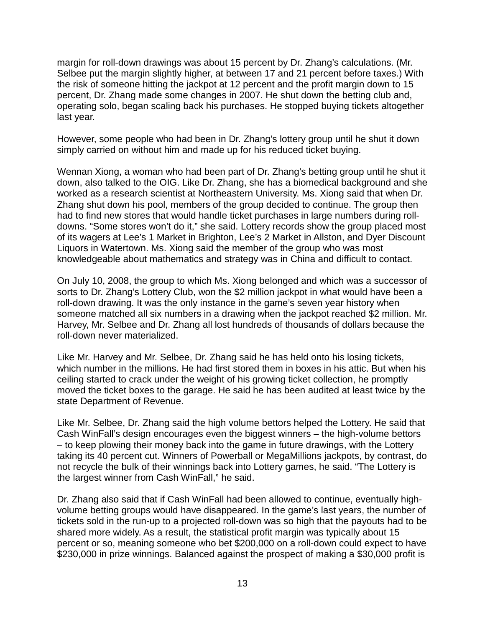margin for roll-down drawings was about 15 percent by Dr. Zhang's calculations. (Mr. Selbee put the margin slightly higher, at between 17 and 21 percent before taxes.) With the risk of someone hitting the jackpot at 12 percent and the profit margin down to 15 percent, Dr. Zhang made some changes in 2007. He shut down the betting club and, operating solo, began scaling back his purchases. He stopped buying tickets altogether last year.

However, some people who had been in Dr. Zhang's lottery group until he shut it down simply carried on without him and made up for his reduced ticket buying.

Wennan Xiong, a woman who had been part of Dr. Zhang's betting group until he shut it down, also talked to the OIG. Like Dr. Zhang, she has a biomedical background and she worked as a research scientist at Northeastern University. Ms. Xiong said that when Dr. Zhang shut down his pool, members of the group decided to continue. The group then had to find new stores that would handle ticket purchases in large numbers during rolldowns. "Some stores won't do it," she said. Lottery records show the group placed most of its wagers at Lee's 1 Market in Brighton, Lee's 2 Market in Allston, and Dyer Discount Liquors in Watertown. Ms. Xiong said the member of the group who was most knowledgeable about mathematics and strategy was in China and difficult to contact.

On July 10, 2008, the group to which Ms. Xiong belonged and which was a successor of sorts to Dr. Zhang's Lottery Club, won the \$2 million jackpot in what would have been a roll-down drawing. It was the only instance in the game's seven year history when someone matched all six numbers in a drawing when the jackpot reached \$2 million. Mr. Harvey, Mr. Selbee and Dr. Zhang all lost hundreds of thousands of dollars because the roll-down never materialized.

Like Mr. Harvey and Mr. Selbee, Dr. Zhang said he has held onto his losing tickets, which number in the millions. He had first stored them in boxes in his attic. But when his ceiling started to crack under the weight of his growing ticket collection, he promptly moved the ticket boxes to the garage. He said he has been audited at least twice by the state Department of Revenue.

Like Mr. Selbee, Dr. Zhang said the high volume bettors helped the Lottery. He said that Cash WinFall's design encourages even the biggest winners – the high-volume bettors – to keep plowing their money back into the game in future drawings, with the Lottery taking its 40 percent cut. Winners of Powerball or MegaMillions jackpots, by contrast, do not recycle the bulk of their winnings back into Lottery games, he said. "The Lottery is the largest winner from Cash WinFall," he said.

Dr. Zhang also said that if Cash WinFall had been allowed to continue, eventually highvolume betting groups would have disappeared. In the game's last years, the number of tickets sold in the run-up to a projected roll-down was so high that the payouts had to be shared more widely. As a result, the statistical profit margin was typically about 15 percent or so, meaning someone who bet \$200,000 on a roll-down could expect to have \$230,000 in prize winnings. Balanced against the prospect of making a \$30,000 profit is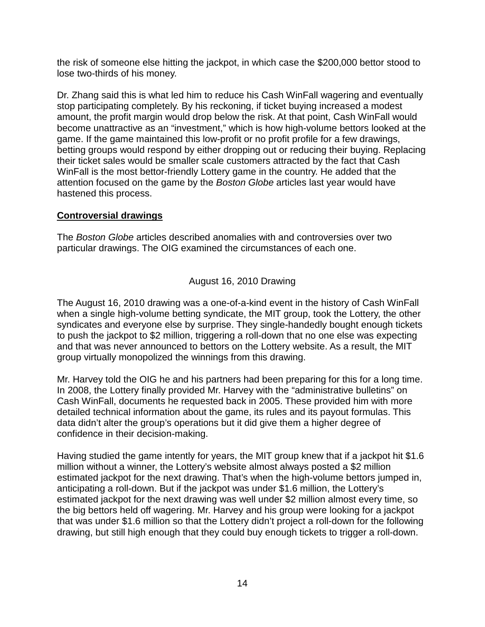the risk of someone else hitting the jackpot, in which case the \$200,000 bettor stood to lose two-thirds of his money.

Dr. Zhang said this is what led him to reduce his Cash WinFall wagering and eventually stop participating completely. By his reckoning, if ticket buying increased a modest amount, the profit margin would drop below the risk. At that point, Cash WinFall would become unattractive as an "investment," which is how high-volume bettors looked at the game. If the game maintained this low-profit or no profit profile for a few drawings, betting groups would respond by either dropping out or reducing their buying. Replacing their ticket sales would be smaller scale customers attracted by the fact that Cash WinFall is the most bettor-friendly Lottery game in the country. He added that the attention focused on the game by the *Boston Globe* articles last year would have hastened this process.

# **Controversial drawings**

The *Boston Globe* articles described anomalies with and controversies over two particular drawings. The OIG examined the circumstances of each one.

### August 16, 2010 Drawing

The August 16, 2010 drawing was a one-of-a-kind event in the history of Cash WinFall when a single high-volume betting syndicate, the MIT group, took the Lottery, the other syndicates and everyone else by surprise. They single-handedly bought enough tickets to push the jackpot to \$2 million, triggering a roll-down that no one else was expecting and that was never announced to bettors on the Lottery website. As a result, the MIT group virtually monopolized the winnings from this drawing.

Mr. Harvey told the OIG he and his partners had been preparing for this for a long time. In 2008, the Lottery finally provided Mr. Harvey with the "administrative bulletins" on Cash WinFall, documents he requested back in 2005. These provided him with more detailed technical information about the game, its rules and its payout formulas. This data didn't alter the group's operations but it did give them a higher degree of confidence in their decision-making.

Having studied the game intently for years, the MIT group knew that if a jackpot hit \$1.6 million without a winner, the Lottery's website almost always posted a \$2 million estimated jackpot for the next drawing. That's when the high-volume bettors jumped in, anticipating a roll-down. But if the jackpot was under \$1.6 million, the Lottery's estimated jackpot for the next drawing was well under \$2 million almost every time, so the big bettors held off wagering. Mr. Harvey and his group were looking for a jackpot that was under \$1.6 million so that the Lottery didn't project a roll-down for the following drawing, but still high enough that they could buy enough tickets to trigger a roll-down.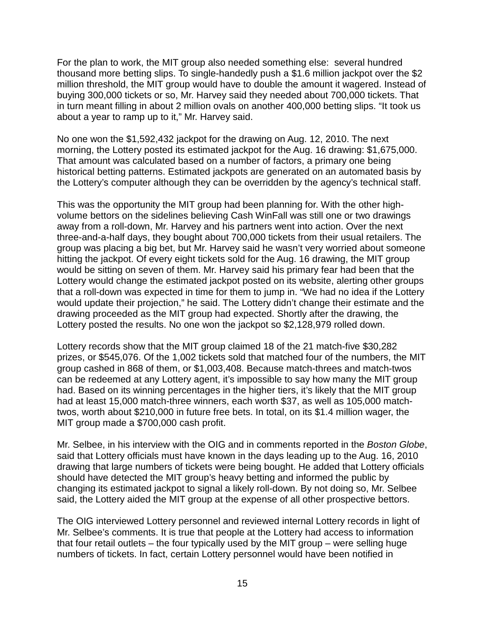For the plan to work, the MIT group also needed something else: several hundred thousand more betting slips. To single-handedly push a \$1.6 million jackpot over the \$2 million threshold, the MIT group would have to double the amount it wagered. Instead of buying 300,000 tickets or so, Mr. Harvey said they needed about 700,000 tickets. That in turn meant filling in about 2 million ovals on another 400,000 betting slips. "It took us about a year to ramp up to it," Mr. Harvey said.

No one won the \$1,592,432 jackpot for the drawing on Aug. 12, 2010. The next morning, the Lottery posted its estimated jackpot for the Aug. 16 drawing: \$1,675,000. That amount was calculated based on a number of factors, a primary one being historical betting patterns. Estimated jackpots are generated on an automated basis by the Lottery's computer although they can be overridden by the agency's technical staff.

This was the opportunity the MIT group had been planning for. With the other highvolume bettors on the sidelines believing Cash WinFall was still one or two drawings away from a roll-down, Mr. Harvey and his partners went into action. Over the next three-and-a-half days, they bought about 700,000 tickets from their usual retailers. The group was placing a big bet, but Mr. Harvey said he wasn't very worried about someone hitting the jackpot. Of every eight tickets sold for the Aug. 16 drawing, the MIT group would be sitting on seven of them. Mr. Harvey said his primary fear had been that the Lottery would change the estimated jackpot posted on its website, alerting other groups that a roll-down was expected in time for them to jump in. "We had no idea if the Lottery would update their projection," he said. The Lottery didn't change their estimate and the drawing proceeded as the MIT group had expected. Shortly after the drawing, the Lottery posted the results. No one won the jackpot so \$2,128,979 rolled down.

Lottery records show that the MIT group claimed 18 of the 21 match-five \$30,282 prizes, or \$545,076. Of the 1,002 tickets sold that matched four of the numbers, the MIT group cashed in 868 of them, or \$1,003,408. Because match-threes and match-twos can be redeemed at any Lottery agent, it's impossible to say how many the MIT group had. Based on its winning percentages in the higher tiers, it's likely that the MIT group had at least 15,000 match-three winners, each worth \$37, as well as 105,000 matchtwos, worth about \$210,000 in future free bets. In total, on its \$1.4 million wager, the MIT group made a \$700,000 cash profit.

Mr. Selbee, in his interview with the OIG and in comments reported in the *Boston Globe*, said that Lottery officials must have known in the days leading up to the Aug. 16, 2010 drawing that large numbers of tickets were being bought. He added that Lottery officials should have detected the MIT group's heavy betting and informed the public by changing its estimated jackpot to signal a likely roll-down. By not doing so, Mr. Selbee said, the Lottery aided the MIT group at the expense of all other prospective bettors.

The OIG interviewed Lottery personnel and reviewed internal Lottery records in light of Mr. Selbee's comments. It is true that people at the Lottery had access to information that four retail outlets – the four typically used by the MIT group – were selling huge numbers of tickets. In fact, certain Lottery personnel would have been notified in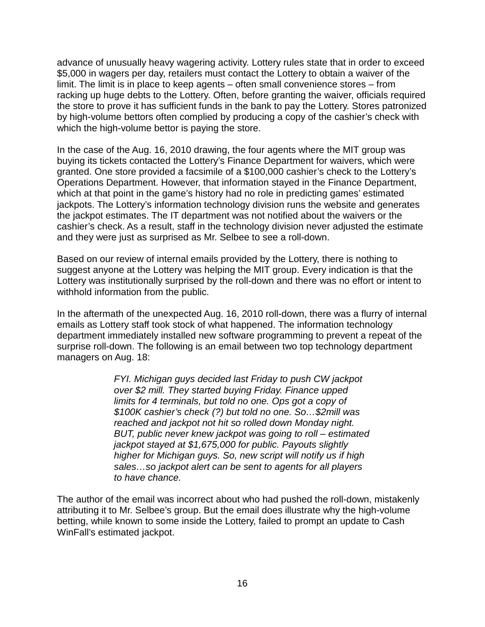advance of unusually heavy wagering activity. Lottery rules state that in order to exceed \$5,000 in wagers per day, retailers must contact the Lottery to obtain a waiver of the limit. The limit is in place to keep agents – often small convenience stores – from racking up huge debts to the Lottery. Often, before granting the waiver, officials required the store to prove it has sufficient funds in the bank to pay the Lottery. Stores patronized by high-volume bettors often complied by producing a copy of the cashier's check with which the high-volume bettor is paying the store.

In the case of the Aug. 16, 2010 drawing, the four agents where the MIT group was buying its tickets contacted the Lottery's Finance Department for waivers, which were granted. One store provided a facsimile of a \$100,000 cashier's check to the Lottery's Operations Department. However, that information stayed in the Finance Department, which at that point in the game's history had no role in predicting games' estimated jackpots. The Lottery's information technology division runs the website and generates the jackpot estimates. The IT department was not notified about the waivers or the cashier's check. As a result, staff in the technology division never adjusted the estimate and they were just as surprised as Mr. Selbee to see a roll-down.

Based on our review of internal emails provided by the Lottery, there is nothing to suggest anyone at the Lottery was helping the MIT group. Every indication is that the Lottery was institutionally surprised by the roll-down and there was no effort or intent to withhold information from the public.

In the aftermath of the unexpected Aug. 16, 2010 roll-down, there was a flurry of internal emails as Lottery staff took stock of what happened. The information technology department immediately installed new software programming to prevent a repeat of the surprise roll-down. The following is an email between two top technology department managers on Aug. 18:

> *FYI. Michigan guys decided last Friday to push CW jackpot over \$2 mill. They started buying Friday. Finance upped limits for 4 terminals, but told no one. Ops got a copy of \$100K cashier's check (?) but told no one. So…\$2mill was reached and jackpot not hit so rolled down Monday night. BUT, public never knew jackpot was going to roll – estimated jackpot stayed at \$1,675,000 for public. Payouts slightly higher for Michigan guys. So, new script will notify us if high sales…so jackpot alert can be sent to agents for all players to have chance.*

The author of the email was incorrect about who had pushed the roll-down, mistakenly attributing it to Mr. Selbee's group. But the email does illustrate why the high-volume betting, while known to some inside the Lottery, failed to prompt an update to Cash WinFall's estimated jackpot.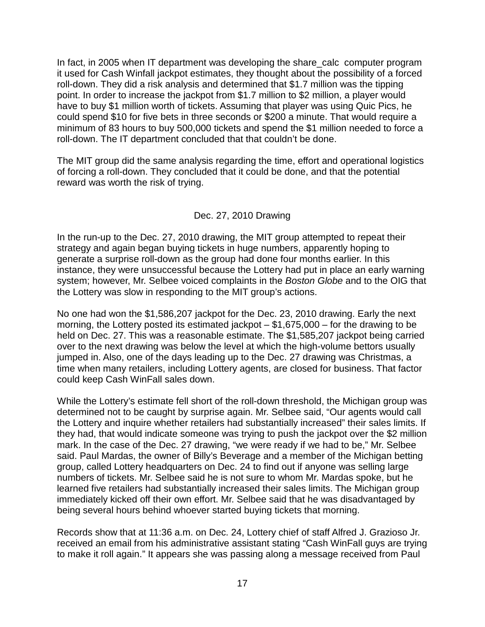In fact, in 2005 when IT department was developing the share\_calc computer program it used for Cash Winfall jackpot estimates, they thought about the possibility of a forced roll-down. They did a risk analysis and determined that \$1.7 million was the tipping point. In order to increase the jackpot from \$1.7 million to \$2 million, a player would have to buy \$1 million worth of tickets. Assuming that player was using Quic Pics, he could spend \$10 for five bets in three seconds or \$200 a minute. That would require a minimum of 83 hours to buy 500,000 tickets and spend the \$1 million needed to force a roll-down. The IT department concluded that that couldn't be done.

The MIT group did the same analysis regarding the time, effort and operational logistics of forcing a roll-down. They concluded that it could be done, and that the potential reward was worth the risk of trying.

# Dec. 27, 2010 Drawing

In the run-up to the Dec. 27, 2010 drawing, the MIT group attempted to repeat their strategy and again began buying tickets in huge numbers, apparently hoping to generate a surprise roll-down as the group had done four months earlier. In this instance, they were unsuccessful because the Lottery had put in place an early warning system; however, Mr. Selbee voiced complaints in the *Boston Globe* and to the OIG that the Lottery was slow in responding to the MIT group's actions.

No one had won the \$1,586,207 jackpot for the Dec. 23, 2010 drawing. Early the next morning, the Lottery posted its estimated jackpot – \$1,675,000 – for the drawing to be held on Dec. 27. This was a reasonable estimate. The \$1,585,207 jackpot being carried over to the next drawing was below the level at which the high-volume bettors usually jumped in. Also, one of the days leading up to the Dec. 27 drawing was Christmas, a time when many retailers, including Lottery agents, are closed for business. That factor could keep Cash WinFall sales down.

While the Lottery's estimate fell short of the roll-down threshold, the Michigan group was determined not to be caught by surprise again. Mr. Selbee said, "Our agents would call the Lottery and inquire whether retailers had substantially increased" their sales limits. If they had, that would indicate someone was trying to push the jackpot over the \$2 million mark. In the case of the Dec. 27 drawing, "we were ready if we had to be," Mr. Selbee said. Paul Mardas, the owner of Billy's Beverage and a member of the Michigan betting group, called Lottery headquarters on Dec. 24 to find out if anyone was selling large numbers of tickets. Mr. Selbee said he is not sure to whom Mr. Mardas spoke, but he learned five retailers had substantially increased their sales limits. The Michigan group immediately kicked off their own effort. Mr. Selbee said that he was disadvantaged by being several hours behind whoever started buying tickets that morning.

Records show that at 11:36 a.m. on Dec. 24, Lottery chief of staff Alfred J. Grazioso Jr. received an email from his administrative assistant stating "Cash WinFall guys are trying to make it roll again." It appears she was passing along a message received from Paul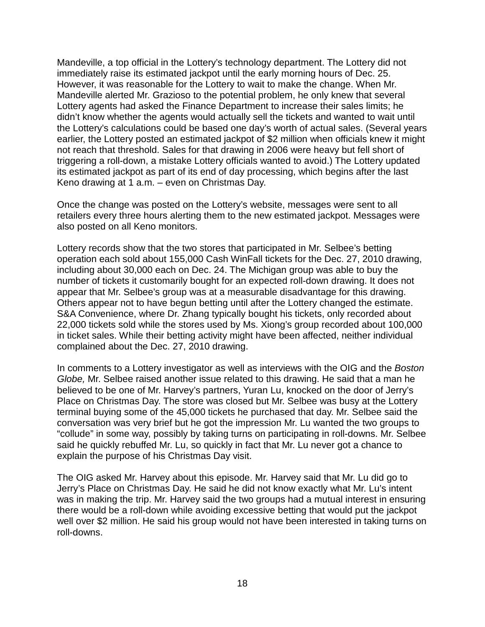Mandeville, a top official in the Lottery's technology department. The Lottery did not immediately raise its estimated jackpot until the early morning hours of Dec. 25. However, it was reasonable for the Lottery to wait to make the change. When Mr. Mandeville alerted Mr. Grazioso to the potential problem, he only knew that several Lottery agents had asked the Finance Department to increase their sales limits; he didn't know whether the agents would actually sell the tickets and wanted to wait until the Lottery's calculations could be based one day's worth of actual sales. (Several years earlier, the Lottery posted an estimated jackpot of \$2 million when officials knew it might not reach that threshold. Sales for that drawing in 2006 were heavy but fell short of triggering a roll-down, a mistake Lottery officials wanted to avoid.) The Lottery updated its estimated jackpot as part of its end of day processing, which begins after the last Keno drawing at 1 a.m. – even on Christmas Day.

Once the change was posted on the Lottery's website, messages were sent to all retailers every three hours alerting them to the new estimated jackpot. Messages were also posted on all Keno monitors.

Lottery records show that the two stores that participated in Mr. Selbee's betting operation each sold about 155,000 Cash WinFall tickets for the Dec. 27, 2010 drawing, including about 30,000 each on Dec. 24. The Michigan group was able to buy the number of tickets it customarily bought for an expected roll-down drawing. It does not appear that Mr. Selbee's group was at a measurable disadvantage for this drawing. Others appear not to have begun betting until after the Lottery changed the estimate. S&A Convenience, where Dr. Zhang typically bought his tickets, only recorded about 22,000 tickets sold while the stores used by Ms. Xiong's group recorded about 100,000 in ticket sales. While their betting activity might have been affected, neither individual complained about the Dec. 27, 2010 drawing.

In comments to a Lottery investigator as well as interviews with the OIG and the *Boston Globe,* Mr. Selbee raised another issue related to this drawing. He said that a man he believed to be one of Mr. Harvey's partners, Yuran Lu, knocked on the door of Jerry's Place on Christmas Day. The store was closed but Mr. Selbee was busy at the Lottery terminal buying some of the 45,000 tickets he purchased that day. Mr. Selbee said the conversation was very brief but he got the impression Mr. Lu wanted the two groups to "collude" in some way, possibly by taking turns on participating in roll-downs. Mr. Selbee said he quickly rebuffed Mr. Lu, so quickly in fact that Mr. Lu never got a chance to explain the purpose of his Christmas Day visit.

The OIG asked Mr. Harvey about this episode. Mr. Harvey said that Mr. Lu did go to Jerry's Place on Christmas Day. He said he did not know exactly what Mr. Lu's intent was in making the trip. Mr. Harvey said the two groups had a mutual interest in ensuring there would be a roll-down while avoiding excessive betting that would put the jackpot well over \$2 million. He said his group would not have been interested in taking turns on roll-downs.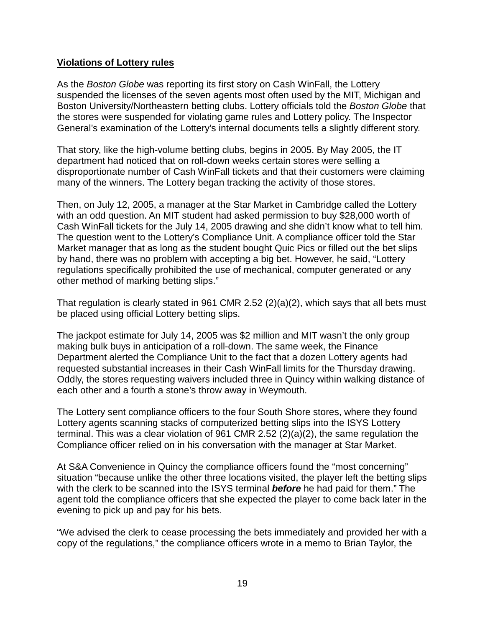### **Violations of Lottery rules**

As the *Boston Globe* was reporting its first story on Cash WinFall, the Lottery suspended the licenses of the seven agents most often used by the MIT, Michigan and Boston University/Northeastern betting clubs. Lottery officials told the *Boston Globe* that the stores were suspended for violating game rules and Lottery policy. The Inspector General's examination of the Lottery's internal documents tells a slightly different story.

That story, like the high-volume betting clubs, begins in 2005. By May 2005, the IT department had noticed that on roll-down weeks certain stores were selling a disproportionate number of Cash WinFall tickets and that their customers were claiming many of the winners. The Lottery began tracking the activity of those stores.

Then, on July 12, 2005, a manager at the Star Market in Cambridge called the Lottery with an odd question. An MIT student had asked permission to buy \$28,000 worth of Cash WinFall tickets for the July 14, 2005 drawing and she didn't know what to tell him. The question went to the Lottery's Compliance Unit. A compliance officer told the Star Market manager that as long as the student bought Quic Pics or filled out the bet slips by hand, there was no problem with accepting a big bet. However, he said, "Lottery regulations specifically prohibited the use of mechanical, computer generated or any other method of marking betting slips."

That regulation is clearly stated in 961 CMR 2.52 (2)(a)(2), which says that all bets must be placed using official Lottery betting slips.

The jackpot estimate for July 14, 2005 was \$2 million and MIT wasn't the only group making bulk buys in anticipation of a roll-down. The same week, the Finance Department alerted the Compliance Unit to the fact that a dozen Lottery agents had requested substantial increases in their Cash WinFall limits for the Thursday drawing. Oddly, the stores requesting waivers included three in Quincy within walking distance of each other and a fourth a stone's throw away in Weymouth.

The Lottery sent compliance officers to the four South Shore stores, where they found Lottery agents scanning stacks of computerized betting slips into the ISYS Lottery terminal. This was a clear violation of 961 CMR 2.52 (2)(a)(2), the same regulation the Compliance officer relied on in his conversation with the manager at Star Market.

At S&A Convenience in Quincy the compliance officers found the "most concerning" situation "because unlike the other three locations visited, the player left the betting slips with the clerk to be scanned into the ISYS terminal *before* he had paid for them." The agent told the compliance officers that she expected the player to come back later in the evening to pick up and pay for his bets.

"We advised the clerk to cease processing the bets immediately and provided her with a copy of the regulations," the compliance officers wrote in a memo to Brian Taylor, the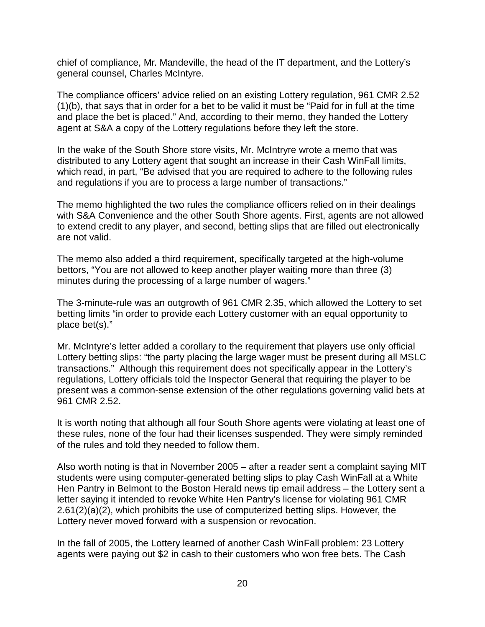chief of compliance, Mr. Mandeville, the head of the IT department, and the Lottery's general counsel, Charles McIntyre.

The compliance officers' advice relied on an existing Lottery regulation, 961 CMR 2.52 (1)(b), that says that in order for a bet to be valid it must be "Paid for in full at the time and place the bet is placed." And, according to their memo, they handed the Lottery agent at S&A a copy of the Lottery regulations before they left the store.

In the wake of the South Shore store visits, Mr. McIntryre wrote a memo that was distributed to any Lottery agent that sought an increase in their Cash WinFall limits, which read, in part, "Be advised that you are required to adhere to the following rules and regulations if you are to process a large number of transactions."

The memo highlighted the two rules the compliance officers relied on in their dealings with S&A Convenience and the other South Shore agents. First, agents are not allowed to extend credit to any player, and second, betting slips that are filled out electronically are not valid.

The memo also added a third requirement, specifically targeted at the high-volume bettors, "You are not allowed to keep another player waiting more than three (3) minutes during the processing of a large number of wagers."

The 3-minute-rule was an outgrowth of 961 CMR 2.35, which allowed the Lottery to set betting limits "in order to provide each Lottery customer with an equal opportunity to place bet(s)."

Mr. McIntyre's letter added a corollary to the requirement that players use only official Lottery betting slips: "the party placing the large wager must be present during all MSLC transactions." Although this requirement does not specifically appear in the Lottery's regulations, Lottery officials told the Inspector General that requiring the player to be present was a common-sense extension of the other regulations governing valid bets at 961 CMR 2.52.

It is worth noting that although all four South Shore agents were violating at least one of these rules, none of the four had their licenses suspended. They were simply reminded of the rules and told they needed to follow them.

Also worth noting is that in November 2005 – after a reader sent a complaint saying MIT students were using computer-generated betting slips to play Cash WinFall at a White Hen Pantry in Belmont to the Boston Herald news tip email address – the Lottery sent a letter saying it intended to revoke White Hen Pantry's license for violating 961 CMR 2.61(2)(a)(2), which prohibits the use of computerized betting slips. However, the Lottery never moved forward with a suspension or revocation.

In the fall of 2005, the Lottery learned of another Cash WinFall problem: 23 Lottery agents were paying out \$2 in cash to their customers who won free bets. The Cash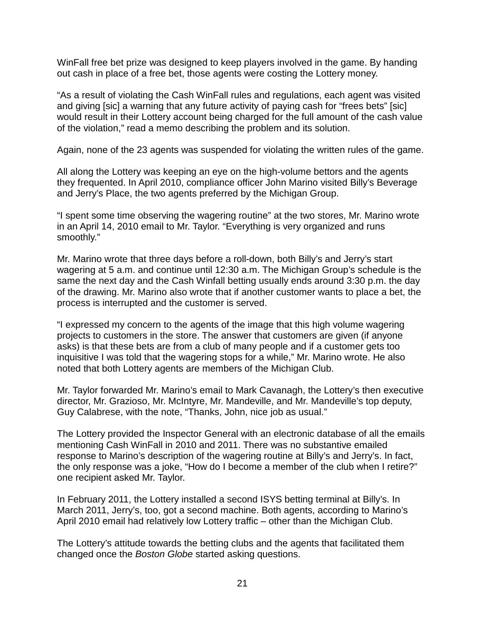WinFall free bet prize was designed to keep players involved in the game. By handing out cash in place of a free bet, those agents were costing the Lottery money.

"As a result of violating the Cash WinFall rules and regulations, each agent was visited and giving [sic] a warning that any future activity of paying cash for "frees bets" [sic] would result in their Lottery account being charged for the full amount of the cash value of the violation," read a memo describing the problem and its solution.

Again, none of the 23 agents was suspended for violating the written rules of the game.

All along the Lottery was keeping an eye on the high-volume bettors and the agents they frequented. In April 2010, compliance officer John Marino visited Billy's Beverage and Jerry's Place, the two agents preferred by the Michigan Group.

"I spent some time observing the wagering routine" at the two stores, Mr. Marino wrote in an April 14, 2010 email to Mr. Taylor. "Everything is very organized and runs smoothly."

Mr. Marino wrote that three days before a roll-down, both Billy's and Jerry's start wagering at 5 a.m. and continue until 12:30 a.m. The Michigan Group's schedule is the same the next day and the Cash Winfall betting usually ends around 3:30 p.m. the day of the drawing. Mr. Marino also wrote that if another customer wants to place a bet, the process is interrupted and the customer is served.

"I expressed my concern to the agents of the image that this high volume wagering projects to customers in the store. The answer that customers are given (if anyone asks) is that these bets are from a club of many people and if a customer gets too inquisitive I was told that the wagering stops for a while," Mr. Marino wrote. He also noted that both Lottery agents are members of the Michigan Club.

Mr. Taylor forwarded Mr. Marino's email to Mark Cavanagh, the Lottery's then executive director, Mr. Grazioso, Mr. McIntyre, Mr. Mandeville, and Mr. Mandeville's top deputy, Guy Calabrese, with the note, "Thanks, John, nice job as usual."

The Lottery provided the Inspector General with an electronic database of all the emails mentioning Cash WinFall in 2010 and 2011. There was no substantive emailed response to Marino's description of the wagering routine at Billy's and Jerry's. In fact, the only response was a joke, "How do I become a member of the club when I retire?" one recipient asked Mr. Taylor.

In February 2011, the Lottery installed a second ISYS betting terminal at Billy's. In March 2011, Jerry's, too, got a second machine. Both agents, according to Marino's April 2010 email had relatively low Lottery traffic – other than the Michigan Club.

The Lottery's attitude towards the betting clubs and the agents that facilitated them changed once the *Boston Globe* started asking questions.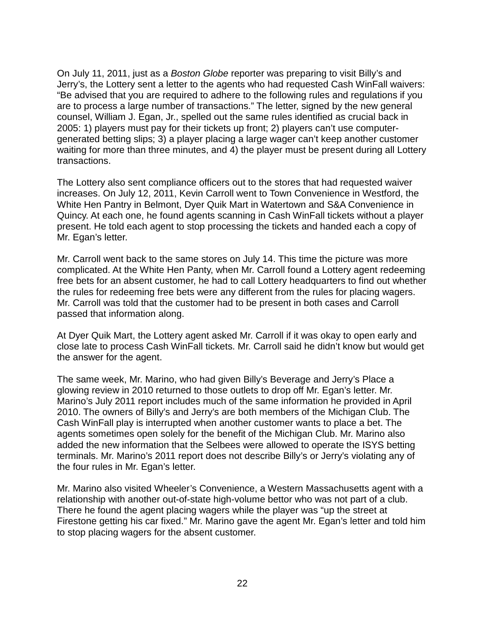On July 11, 2011, just as a *Boston Globe* reporter was preparing to visit Billy's and Jerry's, the Lottery sent a letter to the agents who had requested Cash WinFall waivers: "Be advised that you are required to adhere to the following rules and regulations if you are to process a large number of transactions." The letter, signed by the new general counsel, William J. Egan, Jr., spelled out the same rules identified as crucial back in 2005: 1) players must pay for their tickets up front; 2) players can't use computergenerated betting slips; 3) a player placing a large wager can't keep another customer waiting for more than three minutes, and 4) the player must be present during all Lottery transactions.

The Lottery also sent compliance officers out to the stores that had requested waiver increases. On July 12, 2011, Kevin Carroll went to Town Convenience in Westford, the White Hen Pantry in Belmont, Dyer Quik Mart in Watertown and S&A Convenience in Quincy. At each one, he found agents scanning in Cash WinFall tickets without a player present. He told each agent to stop processing the tickets and handed each a copy of Mr. Egan's letter.

Mr. Carroll went back to the same stores on July 14. This time the picture was more complicated. At the White Hen Panty, when Mr. Carroll found a Lottery agent redeeming free bets for an absent customer, he had to call Lottery headquarters to find out whether the rules for redeeming free bets were any different from the rules for placing wagers. Mr. Carroll was told that the customer had to be present in both cases and Carroll passed that information along.

At Dyer Quik Mart, the Lottery agent asked Mr. Carroll if it was okay to open early and close late to process Cash WinFall tickets. Mr. Carroll said he didn't know but would get the answer for the agent.

The same week, Mr. Marino, who had given Billy's Beverage and Jerry's Place a glowing review in 2010 returned to those outlets to drop off Mr. Egan's letter. Mr. Marino's July 2011 report includes much of the same information he provided in April 2010. The owners of Billy's and Jerry's are both members of the Michigan Club. The Cash WinFall play is interrupted when another customer wants to place a bet. The agents sometimes open solely for the benefit of the Michigan Club. Mr. Marino also added the new information that the Selbees were allowed to operate the ISYS betting terminals. Mr. Marino's 2011 report does not describe Billy's or Jerry's violating any of the four rules in Mr. Egan's letter.

Mr. Marino also visited Wheeler's Convenience, a Western Massachusetts agent with a relationship with another out-of-state high-volume bettor who was not part of a club. There he found the agent placing wagers while the player was "up the street at Firestone getting his car fixed." Mr. Marino gave the agent Mr. Egan's letter and told him to stop placing wagers for the absent customer.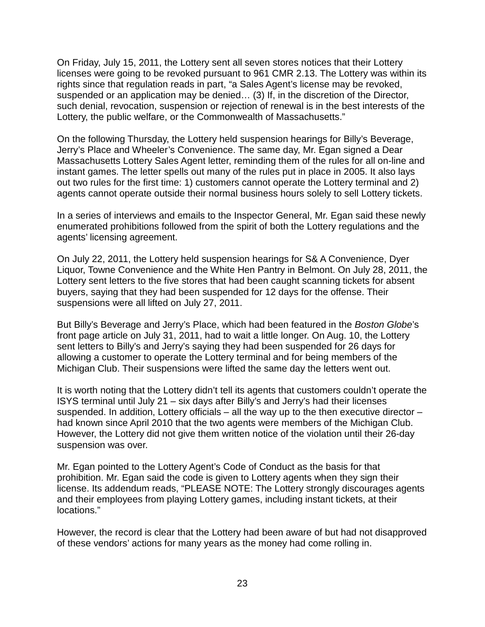On Friday, July 15, 2011, the Lottery sent all seven stores notices that their Lottery licenses were going to be revoked pursuant to 961 CMR 2.13. The Lottery was within its rights since that regulation reads in part, "a Sales Agent's license may be revoked, suspended or an application may be denied… (3) If, in the discretion of the Director, such denial, revocation, suspension or rejection of renewal is in the best interests of the Lottery, the public welfare, or the Commonwealth of Massachusetts."

On the following Thursday, the Lottery held suspension hearings for Billy's Beverage, Jerry's Place and Wheeler's Convenience. The same day, Mr. Egan signed a Dear Massachusetts Lottery Sales Agent letter, reminding them of the rules for all on-line and instant games. The letter spells out many of the rules put in place in 2005. It also lays out two rules for the first time: 1) customers cannot operate the Lottery terminal and 2) agents cannot operate outside their normal business hours solely to sell Lottery tickets.

In a series of interviews and emails to the Inspector General, Mr. Egan said these newly enumerated prohibitions followed from the spirit of both the Lottery regulations and the agents' licensing agreement.

On July 22, 2011, the Lottery held suspension hearings for S& A Convenience, Dyer Liquor, Towne Convenience and the White Hen Pantry in Belmont. On July 28, 2011, the Lottery sent letters to the five stores that had been caught scanning tickets for absent buyers, saying that they had been suspended for 12 days for the offense. Their suspensions were all lifted on July 27, 2011.

But Billy's Beverage and Jerry's Place, which had been featured in the *Boston Globe*'s front page article on July 31, 2011, had to wait a little longer. On Aug. 10, the Lottery sent letters to Billy's and Jerry's saying they had been suspended for 26 days for allowing a customer to operate the Lottery terminal and for being members of the Michigan Club. Their suspensions were lifted the same day the letters went out.

It is worth noting that the Lottery didn't tell its agents that customers couldn't operate the ISYS terminal until July 21 – six days after Billy's and Jerry's had their licenses suspended. In addition, Lottery officials – all the way up to the then executive director – had known since April 2010 that the two agents were members of the Michigan Club. However, the Lottery did not give them written notice of the violation until their 26-day suspension was over.

Mr. Egan pointed to the Lottery Agent's Code of Conduct as the basis for that prohibition. Mr. Egan said the code is given to Lottery agents when they sign their license. Its addendum reads, "PLEASE NOTE: The Lottery strongly discourages agents and their employees from playing Lottery games, including instant tickets, at their locations."

However, the record is clear that the Lottery had been aware of but had not disapproved of these vendors' actions for many years as the money had come rolling in.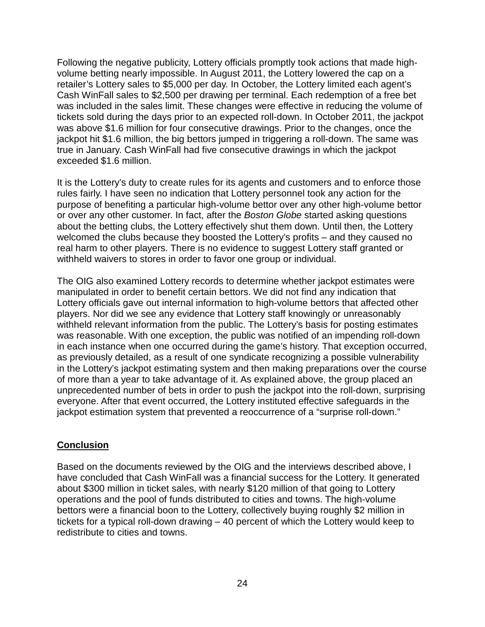Following the negative publicity, Lottery officials promptly took actions that made highvolume betting nearly impossible. In August 2011, the Lottery lowered the cap on a retailer's Lottery sales to \$5,000 per day. In October, the Lottery limited each agent's Cash WinFall sales to \$2,500 per drawing per terminal. Each redemption of a free bet was included in the sales limit. These changes were effective in reducing the volume of tickets sold during the days prior to an expected roll-down. In October 2011, the jackpot was above \$1.6 million for four consecutive drawings. Prior to the changes, once the jackpot hit \$1.6 million, the big bettors jumped in triggering a roll-down. The same was true in January. Cash WinFall had five consecutive drawings in which the jackpot exceeded \$1.6 million.

It is the Lottery's duty to create rules for its agents and customers and to enforce those rules fairly. I have seen no indication that Lottery personnel took any action for the purpose of benefiting a particular high-volume bettor over any other high-volume bettor or over any other customer. In fact, after the *Boston Globe* started asking questions about the betting clubs, the Lottery effectively shut them down. Until then, the Lottery welcomed the clubs because they boosted the Lottery's profits – and they caused no real harm to other players. There is no evidence to suggest Lottery staff granted or withheld waivers to stores in order to favor one group or individual.

The OIG also examined Lottery records to determine whether jackpot estimates were manipulated in order to benefit certain bettors. We did not find any indication that Lottery officials gave out internal information to high-volume bettors that affected other players. Nor did we see any evidence that Lottery staff knowingly or unreasonably withheld relevant information from the public. The Lottery's basis for posting estimates was reasonable. With one exception, the public was notified of an impending roll-down in each instance when one occurred during the game's history. That exception occurred, as previously detailed, as a result of one syndicate recognizing a possible vulnerability in the Lottery's jackpot estimating system and then making preparations over the course of more than a year to take advantage of it. As explained above, the group placed an unprecedented number of bets in order to push the jackpot into the roll-down, surprising everyone. After that event occurred, the Lottery instituted effective safeguards in the jackpot estimation system that prevented a reoccurrence of a "surprise roll-down."

#### **Conclusion**

Based on the documents reviewed by the OIG and the interviews described above, I have concluded that Cash WinFall was a financial success for the Lottery. It generated about \$300 million in ticket sales, with nearly \$120 million of that going to Lottery operations and the pool of funds distributed to cities and towns. The high-volume bettors were a financial boon to the Lottery, collectively buying roughly \$2 million in tickets for a typical roll-down drawing – 40 percent of which the Lottery would keep to redistribute to cities and towns.